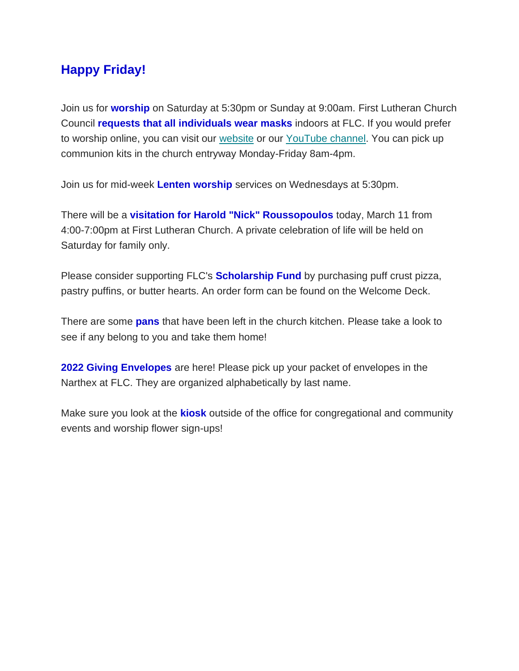## **Happy Friday!**

Join us for **worship** on Saturday at 5:30pm or Sunday at 9:00am. First Lutheran Church Council **requests that all individuals wear masks** indoors at FLC. If you would prefer to worship online, you can visit our [website](https://www.firstlc.org/index.php?) or our [YouTube channel.](https://www.youtube.com/channel/UC9XdNg_hQSX1DHMunNI8WQw/featured) You can pick up communion kits in the church entryway Monday-Friday 8am-4pm.

Join us for mid-week **Lenten worship** services on Wednesdays at 5:30pm.

There will be a **visitation for Harold "Nick" Roussopoulos** today, March 11 from 4:00-7:00pm at First Lutheran Church. A private celebration of life will be held on Saturday for family only.

Please consider supporting FLC's **Scholarship Fund** by purchasing puff crust pizza, pastry puffins, or butter hearts. An order form can be found on the Welcome Deck.

There are some **pans** that have been left in the church kitchen. Please take a look to see if any belong to you and take them home!

**2022 Giving Envelopes** are here! Please pick up your packet of envelopes in the Narthex at FLC. They are organized alphabetically by last name.

Make sure you look at the **kiosk** outside of the office for congregational and community events and worship flower sign-ups!